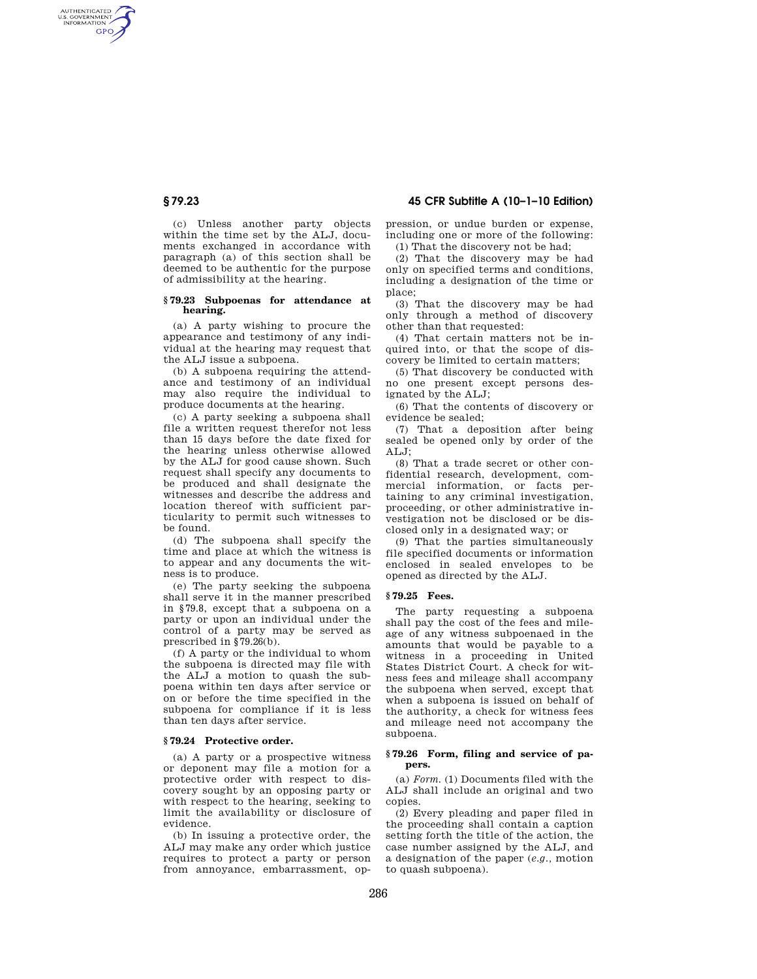AUTHENTICATED<br>U.S. GOVERNMENT<br>INFORMATION **GPO** 

> (c) Unless another party objects within the time set by the ALJ, documents exchanged in accordance with paragraph (a) of this section shall be deemed to be authentic for the purpose of admissibility at the hearing.

#### **§ 79.23 Subpoenas for attendance at hearing.**

(a) A party wishing to procure the appearance and testimony of any individual at the hearing may request that the ALJ issue a subpoena.

(b) A subpoena requiring the attendance and testimony of an individual may also require the individual to produce documents at the hearing.

(c) A party seeking a subpoena shall file a written request therefor not less than 15 days before the date fixed for the hearing unless otherwise allowed by the ALJ for good cause shown. Such request shall specify any documents to be produced and shall designate the witnesses and describe the address and location thereof with sufficient particularity to permit such witnesses to be found.

(d) The subpoena shall specify the time and place at which the witness is to appear and any documents the witness is to produce.

(e) The party seeking the subpoena shall serve it in the manner prescribed in §79.8, except that a subpoena on a party or upon an individual under the control of a party may be served as prescribed in §79.26(b).

(f) A party or the individual to whom the subpoena is directed may file with the ALJ a motion to quash the subpoena within ten days after service or on or before the time specified in the subpoena for compliance if it is less than ten days after service.

#### **§ 79.24 Protective order.**

(a) A party or a prospective witness or deponent may file a motion for a protective order with respect to discovery sought by an opposing party or with respect to the hearing, seeking to limit the availability or disclosure of evidence.

(b) In issuing a protective order, the ALJ may make any order which justice requires to protect a party or person from annoyance, embarrassment, op-

# **§ 79.23 45 CFR Subtitle A (10–1–10 Edition)**

pression, or undue burden or expense, including one or more of the following: (1) That the discovery not be had;

(2) That the discovery may be had only on specified terms and conditions, including a designation of the time or place;

(3) That the discovery may be had only through a method of discovery other than that requested:

(4) That certain matters not be inquired into, or that the scope of discovery be limited to certain matters;

(5) That discovery be conducted with no one present except persons designated by the ALJ;

(6) That the contents of discovery or evidence be sealed;

(7) That a deposition after being sealed be opened only by order of the  $ATJ:$ 

(8) That a trade secret or other confidential research, development, commercial information, or facts pertaining to any criminal investigation, proceeding, or other administrative investigation not be disclosed or be disclosed only in a designated way; or

(9) That the parties simultaneously file specified documents or information enclosed in sealed envelopes to be opened as directed by the ALJ.

### **§ 79.25 Fees.**

The party requesting a subpoena shall pay the cost of the fees and mileage of any witness subpoenaed in the amounts that would be payable to a witness in a proceeding in United States District Court. A check for witness fees and mileage shall accompany the subpoena when served, except that when a subpoena is issued on behalf of the authority, a check for witness fees and mileage need not accompany the subpoena.

### **§ 79.26 Form, filing and service of papers.**

(a) *Form.* (1) Documents filed with the ALJ shall include an original and two copies.

(2) Every pleading and paper filed in the proceeding shall contain a caption setting forth the title of the action, the case number assigned by the ALJ, and a designation of the paper (*e.g.,* motion to quash subpoena).